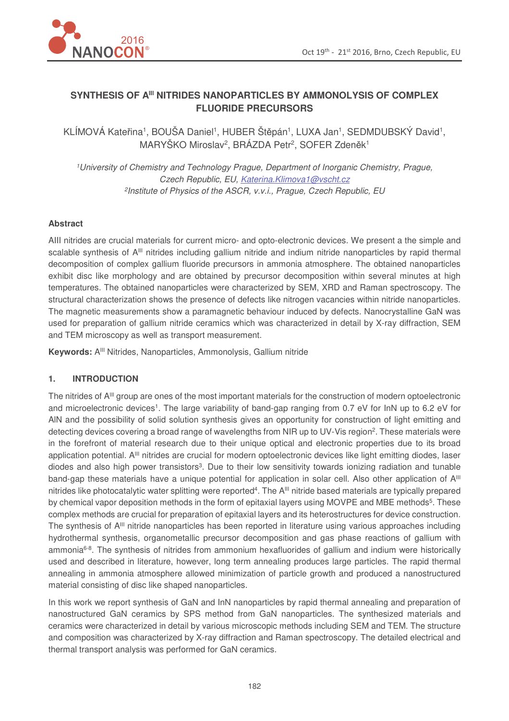

# **SYNTHESIS OF AIII NITRIDES NANOPARTICLES BY AMMONOLYSIS OF COMPLEX FLUORIDE PRECURSORS**

KLÍMOVÁ Kateřina<sup>1</sup>, BOUŠA Daniel<sup>1</sup>, HUBER Štěpán<sup>1</sup>, LUXA Jan<sup>1</sup>, SEDMDUBSKÝ David<sup>1</sup>, MARYŠKO Miroslav<sup>2</sup>, BRÁZDA Petr<sup>2</sup>, SOFER Zdeněk<sup>1</sup>

<sup>1</sup>University of Chemistry and Technology Prague, Department of Inorganic Chemistry, Prague, Czech Republic, EU, Katerina.Klimova1@vscht.cz 2 Institute of Physics of the ASCR, v.v.i., Prague, Czech Republic, EU

# **Abstract**

AIII nitrides are crucial materials for current micro- and opto-electronic devices. We present a the simple and scalable synthesis of A<sup>III</sup> nitrides including gallium nitride and indium nitride nanoparticles by rapid thermal decomposition of complex gallium fluoride precursors in ammonia atmosphere. The obtained nanoparticles exhibit disc like morphology and are obtained by precursor decomposition within several minutes at high temperatures. The obtained nanoparticles were characterized by SEM, XRD and Raman spectroscopy. The structural characterization shows the presence of defects like nitrogen vacancies within nitride nanoparticles. The magnetic measurements show a paramagnetic behaviour induced by defects. Nanocrystalline GaN was used for preparation of gallium nitride ceramics which was characterized in detail by X-ray diffraction, SEM and TEM microscopy as well as transport measurement.

Keywords: A<sup>III</sup> Nitrides, Nanoparticles, Ammonolysis, Gallium nitride

#### **1. INTRODUCTION**

The nitrides of A<sup>III</sup> group are ones of the most important materials for the construction of modern optoelectronic and microelectronic devices<sup>1</sup>. The large variability of band-gap ranging from 0.7 eV for InN up to 6.2 eV for AlN and the possibility of solid solution synthesis gives an opportunity for construction of light emitting and detecting devices covering a broad range of wavelengths from NIR up to UV-Vis region<sup>2</sup>. These materials were in the forefront of material research due to their unique optical and electronic properties due to its broad application potential. A<sup>III</sup> nitrides are crucial for modern optoelectronic devices like light emitting diodes, laser diodes and also high power transistors<sup>3</sup>. Due to their low sensitivity towards ionizing radiation and tunable band-gap these materials have a unique potential for application in solar cell. Also other application of A<sup>III</sup> nitrides like photocatalytic water splitting were reported<sup>4</sup>. The A<sup>III</sup> nitride based materials are typically prepared by chemical vapor deposition methods in the form of epitaxial layers using MOVPE and MBE methods<sup>5</sup>. These complex methods are crucial for preparation of epitaxial layers and its heterostructures for device construction. The synthesis of A<sup>III</sup> nitride nanoparticles has been reported in literature using various approaches including hydrothermal synthesis, organometallic precursor decomposition and gas phase reactions of gallium with ammonia6-8. The synthesis of nitrides from ammonium hexafluorides of gallium and indium were historically used and described in literature, however, long term annealing produces large particles. The rapid thermal annealing in ammonia atmosphere allowed minimization of particle growth and produced a nanostructured material consisting of disc like shaped nanoparticles.

In this work we report synthesis of GaN and InN nanoparticles by rapid thermal annealing and preparation of nanostructured GaN ceramics by SPS method from GaN nanoparticles. The synthesized materials and ceramics were characterized in detail by various microscopic methods including SEM and TEM. The structure and composition was characterized by X-ray diffraction and Raman spectroscopy. The detailed electrical and thermal transport analysis was performed for GaN ceramics.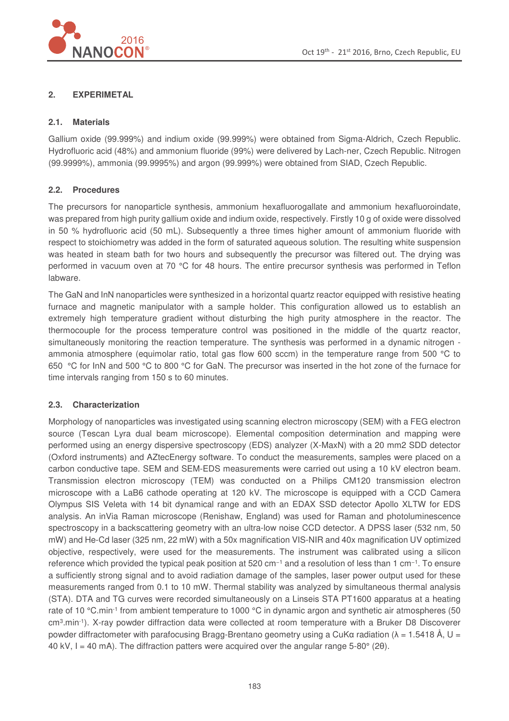

# **2. EXPERIMETAL**

#### **2.1. Materials**

Gallium oxide (99.999%) and indium oxide (99.999%) were obtained from Sigma-Aldrich, Czech Republic. Hydrofluoric acid (48%) and ammonium fluoride (99%) were delivered by Lach-ner, Czech Republic. Nitrogen (99.9999%), ammonia (99.9995%) and argon (99.999%) were obtained from SIAD, Czech Republic.

# **2.2. Procedures**

The precursors for nanoparticle synthesis, ammonium hexafluorogallate and ammonium hexafluoroindate, was prepared from high purity gallium oxide and indium oxide, respectively. Firstly 10 g of oxide were dissolved in 50 % hydrofluoric acid (50 mL). Subsequently a three times higher amount of ammonium fluoride with respect to stoichiometry was added in the form of saturated aqueous solution. The resulting white suspension was heated in steam bath for two hours and subsequently the precursor was filtered out. The drying was performed in vacuum oven at 70 °C for 48 hours. The entire precursor synthesis was performed in Teflon labware.

The GaN and InN nanoparticles were synthesized in a horizontal quartz reactor equipped with resistive heating furnace and magnetic manipulator with a sample holder. This configuration allowed us to establish an extremely high temperature gradient without disturbing the high purity atmosphere in the reactor. The thermocouple for the process temperature control was positioned in the middle of the quartz reactor, simultaneously monitoring the reaction temperature. The synthesis was performed in a dynamic nitrogen ammonia atmosphere (equimolar ratio, total gas flow 600 sccm) in the temperature range from 500 °C to 650 °C for InN and 500 °C to 800 °C for GaN. The precursor was inserted in the hot zone of the furnace for time intervals ranging from 150 s to 60 minutes.

# **2.3. Characterization**

Morphology of nanoparticles was investigated using scanning electron microscopy (SEM) with a FEG electron source (Tescan Lyra dual beam microscope). Elemental composition determination and mapping were performed using an energy dispersive spectroscopy (EDS) analyzer (X-MaxN) with a 20 mm2 SDD detector (Oxford instruments) and AZtecEnergy software. To conduct the measurements, samples were placed on a carbon conductive tape. SEM and SEM-EDS measurements were carried out using a 10 kV electron beam. Transmission electron microscopy (TEM) was conducted on a Philips CM120 transmission electron microscope with a LaB6 cathode operating at 120 kV. The microscope is equipped with a CCD Camera Olympus SIS Veleta with 14 bit dynamical range and with an EDAX SSD detector Apollo XLTW for EDS analysis. An inVia Raman microscope (Renishaw, England) was used for Raman and photoluminescence spectroscopy in a backscattering geometry with an ultra-low noise CCD detector. A DPSS laser (532 nm, 50) mW) and He-Cd laser (325 nm, 22 mW) with a 50x magnification VIS-NIR and 40x magnification UV optimized objective, respectively, were used for the measurements. The instrument was calibrated using a silicon reference which provided the typical peak position at 520 cm−1 and a resolution of less than 1 cm−1. To ensure a sufficiently strong signal and to avoid radiation damage of the samples, laser power output used for these measurements ranged from 0.1 to 10 mW. Thermal stability was analyzed by simultaneous thermal analysis (STA). DTA and TG curves were recorded simultaneously on a Linseis STA PT1600 apparatus at a heating rate of 10 °C.min<sup>-1</sup> from ambient temperature to 1000 °C in dynamic argon and synthetic air atmospheres (50 cm<sup>3</sup>.min<sup>-1</sup>). X-ray powder diffraction data were collected at room temperature with a Bruker D8 Discoverer powder diffractometer with parafocusing Bragg-Brentano geometry using a CuKa radiation ( $\lambda = 1.5418 \text{ Å}$ , U = 40 kV, I = 40 mA). The diffraction patters were acquired over the angular range 5-80 $^{\circ}$  (20).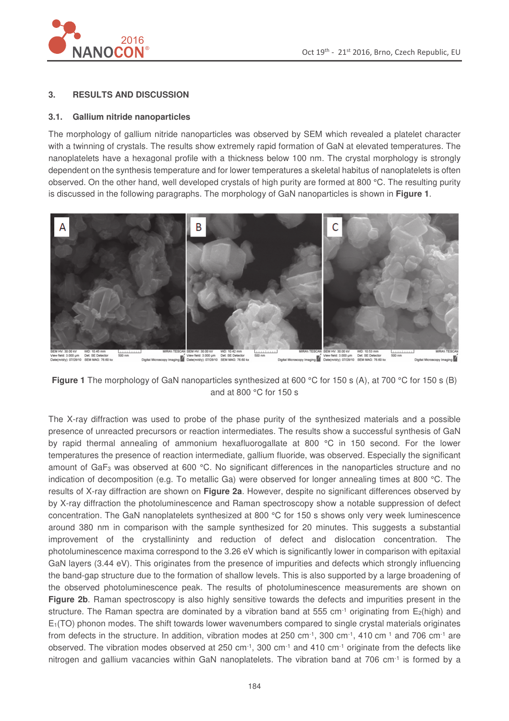

#### **3. RESULTS AND DISCUSSION**

#### **3.1. Gallium nitride nanoparticles**

The morphology of gallium nitride nanoparticles was observed by SEM which revealed a platelet character with a twinning of crystals. The results show extremely rapid formation of GaN at elevated temperatures. The nanoplatelets have a hexagonal profile with a thickness below 100 nm. The crystal morphology is strongly dependent on the synthesis temperature and for lower temperatures a skeletal habitus of nanoplatelets is often observed. On the other hand, well developed crystals of high purity are formed at 800 °C. The resulting purity is discussed in the following paragraphs. The morphology of GaN nanoparticles is shown in **Figure 1**.



**Figure 1** The morphology of GaN nanoparticles synthesized at 600 °C for 150 s (A), at 700 °C for 150 s (B) and at 800 °C for 150 s

The X-ray diffraction was used to probe of the phase purity of the synthesized materials and a possible presence of unreacted precursors or reaction intermediates. The results show a successful synthesis of GaN by rapid thermal annealing of ammonium hexafluorogallate at 800 °C in 150 second. For the lower temperatures the presence of reaction intermediate, gallium fluoride, was observed. Especially the significant amount of GaF3 was observed at 600 °C. No significant differences in the nanoparticles structure and no indication of decomposition (e.g. To metallic Ga) were observed for longer annealing times at 800 °C. The results of X-ray diffraction are shown on **Figure 2a**. However, despite no significant differences observed by by X-ray diffraction the photoluminescence and Raman spectroscopy show a notable suppression of defect concentration. The GaN nanoplatelets synthesized at 800 °C for 150 s shows only very week luminescence around 380 nm in comparison with the sample synthesized for 20 minutes. This suggests a substantial improvement of the crystallininty and reduction of defect and dislocation concentration. The photoluminescence maxima correspond to the 3.26 eV which is significantly lower in comparison with epitaxial GaN layers (3.44 eV). This originates from the presence of impurities and defects which strongly influencing the band-gap structure due to the formation of shallow levels. This is also supported by a large broadening of the observed photoluminescence peak. The results of photoluminescence measurements are shown on **Figure 2b.** Raman spectroscopy is also highly sensitive towards the defects and impurities present in the structure. The Raman spectra are dominated by a vibration band at 555 cm<sup>-1</sup> originating from  $E_2(high)$  and  $E_1(TO)$  phonon modes. The shift towards lower wavenumbers compared to single crystal materials originates from defects in the structure. In addition, vibration modes at 250 cm<sup>-1</sup>, 300 cm<sup>-1</sup>, 410 cm<sup>-1</sup> and 706 cm<sup>-1</sup> are observed. The vibration modes observed at 250 cm<sup>-1</sup>, 300 cm<sup>-1</sup> and 410 cm<sup>-1</sup> originate from the defects like nitrogen and gallium vacancies within GaN nanoplatelets. The vibration band at 706 cm-1 is formed by a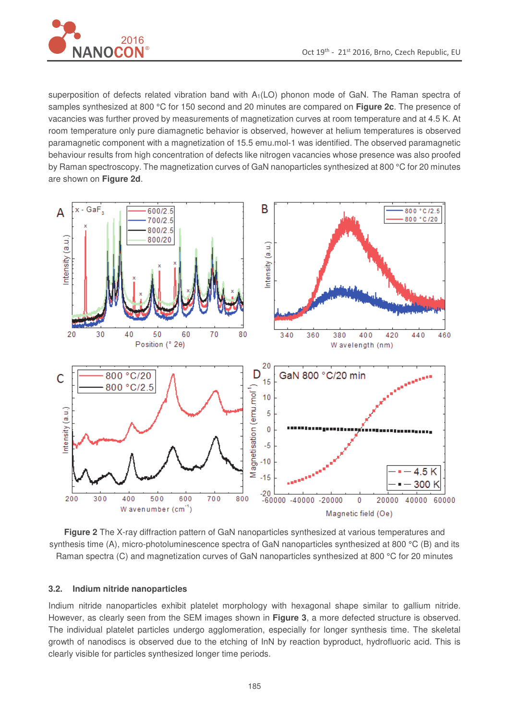

superposition of defects related vibration band with A<sub>1</sub>(LO) phonon mode of GaN. The Raman spectra of samples synthesized at 800 °C for 150 second and 20 minutes are compared on **Figure 2c**. The presence of vacancies was further proved by measurements of magnetization curves at room temperature and at 4.5 K. At room temperature only pure diamagnetic behavior is observed, however at helium temperatures is observed paramagnetic component with a magnetization of 15.5 emu.mol-1 was identified. The observed paramagnetic behaviour results from high concentration of defects like nitrogen vacancies whose presence was also proofed by Raman spectroscopy. The magnetization curves of GaN nanoparticles synthesized at 800 °C for 20 minutes are shown on **Figure 2d**.



**Figure 2** The X-ray diffraction pattern of GaN nanoparticles synthesized at various temperatures and synthesis time (A), micro-photoluminescence spectra of GaN nanoparticles synthesized at 800 °C (B) and its Raman spectra (C) and magnetization curves of GaN nanoparticles synthesized at 800 °C for 20 minutes

#### **3.2. Indium nitride nanoparticles**

Indium nitride nanoparticles exhibit platelet morphology with hexagonal shape similar to gallium nitride. However, as clearly seen from the SEM images shown in **Figure 3**, a more defected structure is observed. The individual platelet particles undergo agglomeration, especially for longer synthesis time. The skeletal growth of nanodiscs is observed due to the etching of InN by reaction byproduct, hydrofluoric acid. This is clearly visible for particles synthesized longer time periods.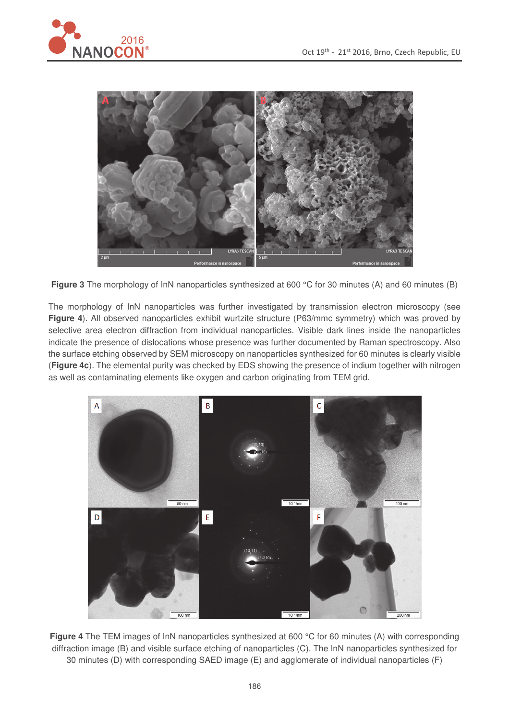



**Figure 3** The morphology of InN nanoparticles synthesized at 600 °C for 30 minutes (A) and 60 minutes (B)

The morphology of InN nanoparticles was further investigated by transmission electron microscopy (see **Figure 4**). All observed nanoparticles exhibit wurtzite structure (P63/mmc symmetry) which was proved by selective area electron diffraction from individual nanoparticles. Visible dark lines inside the nanoparticles indicate the presence of dislocations whose presence was further documented by Raman spectroscopy. Also the surface etching observed by SEM microscopy on nanoparticles synthesized for 60 minutes is clearly visible (**Figure 4c**). The elemental purity was checked by EDS showing the presence of indium together with nitrogen as well as contaminating elements like oxygen and carbon originating from TEM grid.



**Figure 4** The TEM images of InN nanoparticles synthesized at 600 °C for 60 minutes (A) with corresponding diffraction image (B) and visible surface etching of nanoparticles (C). The InN nanoparticles synthesized for 30 minutes (D) with corresponding SAED image (E) and agglomerate of individual nanoparticles (F)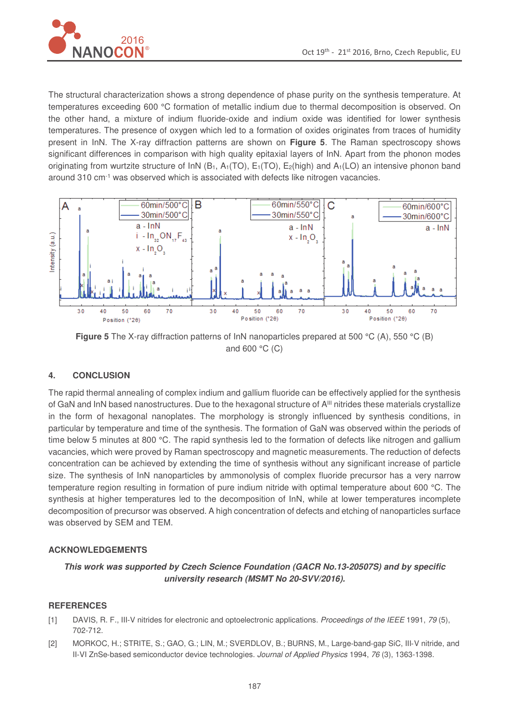

The structural characterization shows a strong dependence of phase purity on the synthesis temperature. At temperatures exceeding 600 °C formation of metallic indium due to thermal decomposition is observed. On the other hand, a mixture of indium fluoride-oxide and indium oxide was identified for lower synthesis temperatures. The presence of oxygen which led to a formation of oxides originates from traces of humidity present in InN. The X-ray diffraction patterns are shown on **Figure 5**. The Raman spectroscopy shows significant differences in comparison with high quality epitaxial layers of InN. Apart from the phonon modes originating from wurtzite structure of InN ( $B_1$ ,  $A_1(TO)$ ,  $E_1(TO)$ ,  $E_2(high)$  and  $A_1(LO)$  an intensive phonon band around 310 cm-1 was observed which is associated with defects like nitrogen vacancies.



**Figure 5** The X-ray diffraction patterns of InN nanoparticles prepared at 500 °C (A), 550 °C (B) and 600 °C (C)

# **4. CONCLUSION**

The rapid thermal annealing of complex indium and gallium fluoride can be effectively applied for the synthesis of GaN and InN based nanostructures. Due to the hexagonal structure of A<sup>III</sup> nitrides these materials crystallize in the form of hexagonal nanoplates. The morphology is strongly influenced by synthesis conditions, in particular by temperature and time of the synthesis. The formation of GaN was observed within the periods of time below 5 minutes at 800 °C. The rapid synthesis led to the formation of defects like nitrogen and gallium vacancies, which were proved by Raman spectroscopy and magnetic measurements. The reduction of defects concentration can be achieved by extending the time of synthesis without any significant increase of particle size. The synthesis of InN nanoparticles by ammonolysis of complex fluoride precursor has a very narrow temperature region resulting in formation of pure indium nitride with optimal temperature about 600 °C. The synthesis at higher temperatures led to the decomposition of InN, while at lower temperatures incomplete decomposition of precursor was observed. A high concentration of defects and etching of nanoparticles surface was observed by SEM and TEM.

#### **ACKNOWLEDGEMENTS**

**This work was supported by Czech Science Foundation (GACR No.13-20507S) and by specific university research (MSMT No 20-SVV/2016).** 

#### **REFERENCES**

- [1] DAVIS, R. F., III-V nitrides for electronic and optoelectronic applications. Proceedings of the IEEE 1991, 79 (5), 702-712.
- [2] MORKOC, H.; STRITE, S.; GAO, G.; LIN, M.; SVERDLOV, B.; BURNS, M., Large-band-gap SiC, III-V nitride, and II-VI ZnSe-based semiconductor device technologies. Journal of Applied Physics 1994, 76 (3), 1363-1398.